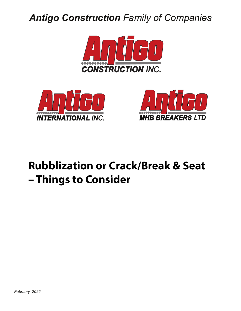## *Antigo Construction Family of Companies*







# **Rubblization or Crack/Break & Seat – Things to Consider**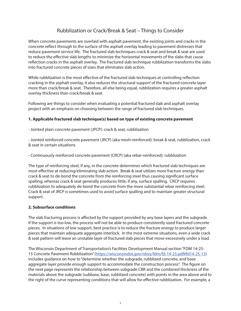## Rubblization or Crack/Break & Seat – Things to Consider

When concrete pavements are overlaid with asphalt pavement, the existing joints and cracks in the concrete reflect through to the surface of the asphalt overlay leading to pavement distresses that reduce pavement service life. The fractured slab techniques crack & seat and break & seat are used to reduce the effective slab lengths to minimize the horizontal movements of the slabs that cause reflection cracks in the asphalt overlay. The fractured slab technique rubblization transforms the slabs into fractured concrete pieces of sizes that eliminates slab action.

While rubblization is the most effective of the fractured slab techniques at controlling reflection cracking in the asphalt overlay, it also reduces the structural support of the fractured concrete layer more than crack/break & seat. Therefore, all else being equal, rubblization requires a greater asphalt overlay thickness than crack/break & seat.

Following are things to consider when evaluating a potential fractured slab and asphalt overlay project with an emphasis on choosing between the range of fractured slab techniques.

#### **1. Applicable fractured slab technique(s) based on type of existing concrete pavement**

- Jointed plain concrete pavement (JPCP): crack & seat, rubblization

- Jointed reinforced concrete pavement (JRCP) (aka mesh-reinforced): break & seat, rubblization, crack & seat in certain situations

- Continuously reinforced concrete pavement (CRCP) (aka rebar-reinforced): rubblization

The type of reinforcing steel, if any, in the concrete determines which fractured slab techniques are most effective at reducing/eliminating slab action. Break & seat utilizes more fracture energy than crack & seat to de-bond the concrete from the reinforcing steel thus causing significant surface spalling, whereas crack & seat generally produces little, if any, surface spalling. CRCP requires rubblization to adequately de-bond the concrete from the more substantial rebar reinforcing steel. Crack & seat of JRCP is sometimes used to avoid surface spalling and to maintain greater structural support.

#### **2. Subsurface conditions**

The slab fracturing process is affected by the support provided by any base layers and the subgrade. If the support is too low, the process will not be able to produce consistently sized fractured concrete pieces. In situations of low support, best practice is to reduce the fracture energy to produce larger pieces that maintain adequate aggregate interlock. In the most extreme situations, even a wide crack & seat pattern will leave an unstable layer of fractured slab pieces that move excessively under a load.

The Wisconsin Department of Transportation's Facilities Development Manual section "FDM 14-25- 15 Concrete Pavement Rubblization" (https://wisconsindot.gov/rdwy/fdm/fd-14-25.pdf#fd14-25-15) includes guidance on how to "determine whether the subgrade, rubblized concrete, and base aggregate layer provide enough support to accommodate the construction process". The figure on the next page represents the relationship between subgrade CBR and the combined thickness of the materials above the subgrade (subbase, base, rubblized concrete) with points in the area above and to the right of the curve representing conditions that will allow for effective rubblization. For example, a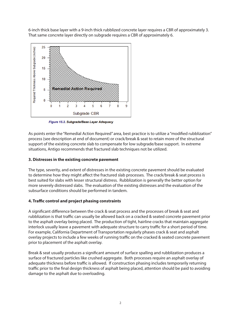6-inch thick base layer with a 9-inch thick rubblized concrete layer requires a CBR of approximately 3. That same concrete layer directly on subgrade requires a CBR of approximately 6.



Figure 15.2. Subgrade/Base Layer Adequacy

As points enter the "Remedial Action Required" area, best practice is to utilize a "modified rubblization" process (see description at end of document) or crack/break & seat to retain more of the structural support of the existing concrete slab to compensate for low subgrade/base support. In extreme situations, Antigo recommends that fractured slab techniques not be utilized.

#### **3. Distresses in the existing concrete pavement**

The type, severity, and extent of distresses in the existing concrete pavement should be evaluated to determine how they might affect the fractured slab processes. The crack/break & seat process is best suited for slabs with lesser structural distress. Rubblization is generally the better option for more severely distressed slabs. The evaluation of the existing distresses and the evaluation of the subsurface conditions should be performed in tandem.

#### **4. Traffic control and project phasing constraints**

A significant difference between the crack & seat process and the processes of break & seat and rubblization is that traffic can usually be allowed back on a cracked & seated concrete pavement prior to the asphalt overlay being placed. The production of tight, hairline cracks that maintain aggregate interlock usually leave a pavement with adequate structure to carry traffic for a short period of time. For example, California Department of Transportation regularly phases crack & seat and asphalt overlay projects to include a few weeks of running traffic on the cracked & seated concrete pavement prior to placement of the asphalt overlay.

Break & seat usually produces a significant amount of surface spalling and rubblization produces a surface of fractured particles like crushed aggregate. Both processes require an asphalt overlay of adequate thickness before traffic is allowed. If construction phasing includes temporarily returning traffic prior to the final design thickness of asphalt being placed, attention should be paid to avoiding damage to the asphalt due to overloading.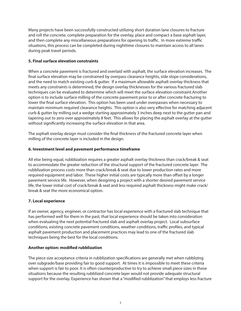Many projects have been successfully constructed utilizing short duration lane closures to fracture and roll the concrete, complete preparation for the overlay, place and compact a base asphalt layer, and then complete any miscellaneous preparations for opening to traffic. In more extreme traffic situations, this process can be completed during nighttime closures to maintain access to all lanes during peak travel periods.

#### **5. Final surface elevation constraints**

When a concrete pavement is fractured and overlaid with asphalt, the surface elevation increases. The final surface elevation may be constrained by overpass clearance heights, side slope considerations, and the need to match existing curb & gutter. If a maximum allowable asphalt overlay thickness that meets any constraints is determined, the design overlay thicknesses for the various fractured slab techniques can be evaluated to determine which will meet the surface elevation constraint.Another option is to include surface milling of the concrete pavement prior to or after concrete fracturing to lower the final surface elevation. This option has been used under overpasses when necessary to maintain minimum required clearance heights. This option is also very effective for matching adjacent curb & gutter by milling out a wedge starting approximately 3 inches deep next to the gutter pan and tapering out to zero over approximately 8 feet. This allows for placing the asphalt overlay at the gutter without significantly increasing the surface elevation in that area.

The asphalt overlay design must consider the final thickness of the fractured concrete layer when milling of the concrete layer is included in the design.

#### **6. Investment level and pavement performance timeframe**

All else being equal, rubblization requires a greater asphalt overlay thickness than crack/break & seat to accommodate the greater reduction of the structural support of the fractured concrete layer. The rubblization process costs more than crack/break & seat due to lower production rates and more required equipment and labor. These higher initial costs are typically more than offset by a longer pavement service life. However, when designing a project with a shorter desired pavement service life, the lower initial cost of crack/break & seat and less required asphalt thickness might make crack/ break & seat the more economical option.

#### **7. Local experience**

If an owner, agency, engineer, or contractor has local experience with a fractured slab technique that has performed well for them in the past, that local experience should be taken into consideration when evaluating the next potential fractured slab and asphalt overlay project. Local subsurface conditions, existing concrete pavement conditions, weather conditions, traffic profiles, and typical asphalt pavement production and placement practices may lead to one of the fractured slab techniques being the best for the local conditions.

#### **Another option: modified rubblization**

The piece size acceptance criteria in rubblization specifications are generally met when rubblizing over subgrade/base providing fair to good support. At times it is impossible to meet these criteria when support is fair to poor. It is often counterproductive to try to achieve small piece sizes in these situations because the resulting rubblized concrete layer would not provide adequate structural support for the overlay. Experience has shown that a "modified rubblization" that employs less fracture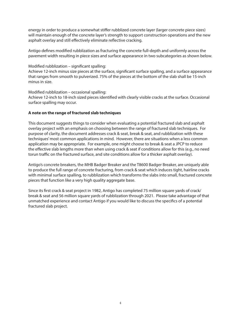energy in order to produce a somewhat stiffer rubblized concrete layer (larger concrete piece sizes) will maintain enough of the concrete layer's strength to support construction operations and the new asphalt overlay and still effectively eliminate reflective cracking.

Antigo defines modified rubblization as fracturing the concrete full-depth and uniformly across the pavement width resulting in piece sizes and surface appearance in two subcategories as shown below.

#### Modified rubblization – significant spalling:

Achieve 12-inch minus size pieces at the surface, significant surface spalling, and a surface appearance that ranges from smooth to pulverized. 75% of the pieces at the bottom of the slab shall be 15-inch minus in size.

Modified rubblization – occasional spalling:

Achieve 12-inch to 18-inch sized pieces identified with clearly visible cracks at the surface. Occasional surface spalling may occur.

#### **A note on the range of fractured slab techniques**

This document suggests things to consider when evaluating a potential fractured slab and asphalt overlay project with an emphasis on choosing between the range of fractured slab techniques. For purpose of clarity, the document addresses crack & seat, break & seat, and rubblization with these techniques' most common applications in mind. However, there are situations when a less common application may be appropriate. For example, one might choose to break & seat a JPCP to reduce the effective slab lengths more than when using crack & seat if conditions allow for this (e.g., no need torun traffic on the fractured surface, and site conditions allow for a thicker asphalt overlay).

Antigo's concrete breakers, the MHB Badger Breaker and the T8600 Badger Breaker, are uniquely able to produce the full range of concrete fracturing, from crack & seat which induces tight, hairline cracks with minimal surface spalling, to rubblization which transforms the slabs into small, fractured concrete pieces that function like a very high quality aggregate base.

Since its first crack & seat project in 1982, Antigo has completed 75 million square yards of crack/ break & seat and 56 million square yards of rubblization through 2021. Please take advantage of that unmatched experience and contact Antigo if you would like to discuss the specifics of a potential fractured slab project.